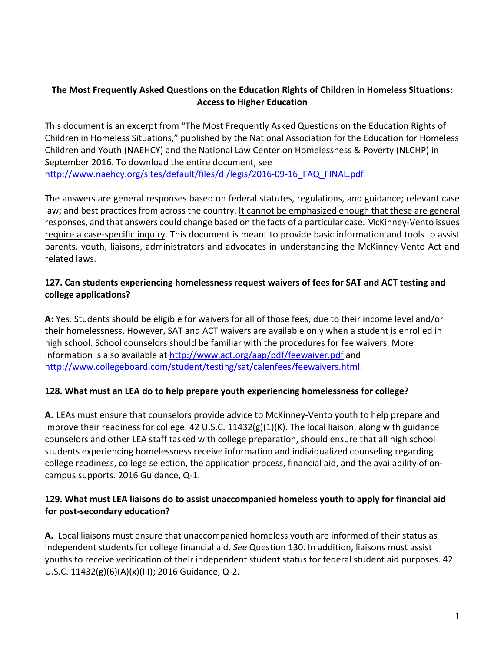# The Most Frequently Asked Questions on the Education Rights of Children in Homeless Situations: **Access to Higher Education**

This document is an excerpt from "The Most Frequently Asked Questions on the Education Rights of Children in Homeless Situations," published by the National Association for the Education for Homeless Children and Youth (NAEHCY) and the National Law Center on Homelessness & Poverty (NLCHP) in September 2016. To download the entire document, see http://www.naehcy.org/sites/default/files/dl/legis/2016-09-16\_FAQ\_FINAL.pdf

The answers are general responses based on federal statutes, regulations, and guidance; relevant case law; and best practices from across the country. It cannot be emphasized enough that these are general responses, and that answers could change based on the facts of a particular case. McKinney-Vento issues require a case-specific inquiry. This document is meant to provide basic information and tools to assist parents, youth, liaisons, administrators and advocates in understanding the McKinney-Vento Act and related laws.

#### **127.** Can students experiencing homelessness request waivers of fees for SAT and ACT testing and **college applications?**

A: Yes. Students should be eligible for waivers for all of those fees, due to their income level and/or their homelessness. However, SAT and ACT waivers are available only when a student is enrolled in high school. School counselors should be familiar with the procedures for fee waivers. More information is also available at http://www.act.org/aap/pdf/feewaiver.pdf and http://www.collegeboard.com/student/testing/sat/calenfees/feewaivers.html.

#### **128.** What must an LEA do to help prepare youth experiencing homelessness for college?

A. LEAs must ensure that counselors provide advice to McKinney-Vento youth to help prepare and improve their readiness for college. 42 U.S.C.  $11432(g)(1)(K)$ . The local liaison, along with guidance counselors and other LEA staff tasked with college preparation, should ensure that all high school students experiencing homelessness receive information and individualized counseling regarding college readiness, college selection, the application process, financial aid, and the availability of oncampus supports. 2016 Guidance, Q-1.

#### **129.** What must LEA liaisons do to assist unaccompanied homeless youth to apply for financial aid for post-secondary education?

**A.** Local liaisons must ensure that unaccompanied homeless youth are informed of their status as independent students for college financial aid. *See* Question 130. In addition, liaisons must assist youths to receive verification of their independent student status for federal student aid purposes. 42 U.S.C.  $11432(g)(6)(A)(x)(III)$ ; 2016 Guidance, Q-2.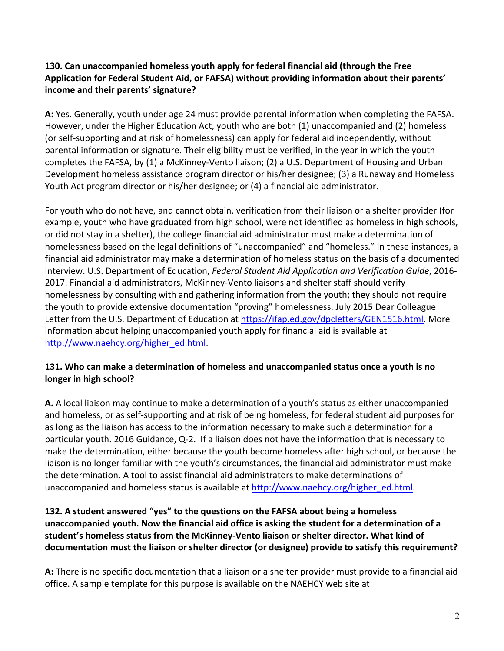### **130.** Can unaccompanied homeless youth apply for federal financial aid (through the Free Application for Federal Student Aid, or FAFSA) without providing information about their parents' **income and their parents' signature?**

**A:** Yes. Generally, youth under age 24 must provide parental information when completing the FAFSA. However, under the Higher Education Act, youth who are both (1) unaccompanied and (2) homeless (or self-supporting and at risk of homelessness) can apply for federal aid independently, without parental information or signature. Their eligibility must be verified, in the year in which the youth completes the FAFSA, by (1) a McKinney-Vento liaison; (2) a U.S. Department of Housing and Urban Development homeless assistance program director or his/her designee; (3) a Runaway and Homeless Youth Act program director or his/her designee; or  $(4)$  a financial aid administrator.

For youth who do not have, and cannot obtain, verification from their liaison or a shelter provider (for example, youth who have graduated from high school, were not identified as homeless in high schools, or did not stay in a shelter), the college financial aid administrator must make a determination of homelessness based on the legal definitions of "unaccompanied" and "homeless." In these instances, a financial aid administrator may make a determination of homeless status on the basis of a documented interview. U.S. Department of Education, *Federal Student Aid Application and Verification Guide*, 2016-2017. Financial aid administrators, McKinney-Vento liaisons and shelter staff should verify homelessness by consulting with and gathering information from the youth; they should not require the youth to provide extensive documentation "proving" homelessness. July 2015 Dear Colleague Letter from the U.S. Department of Education at https://ifap.ed.gov/dpcletters/GEN1516.html. More information about helping unaccompanied youth apply for financial aid is available at http://www.naehcy.org/higher\_ed.html.

#### **131. Who can make a determination of homeless and unaccompanied status once a youth is no** longer in high school?

**A.** A local liaison may continue to make a determination of a youth's status as either unaccompanied and homeless, or as self-supporting and at risk of being homeless, for federal student aid purposes for as long as the liaison has access to the information necessary to make such a determination for a particular youth. 2016 Guidance, Q-2. If a liaison does not have the information that is necessary to make the determination, either because the youth become homeless after high school, or because the liaison is no longer familiar with the youth's circumstances, the financial aid administrator must make the determination. A tool to assist financial aid administrators to make determinations of unaccompanied and homeless status is available at http://www.naehcy.org/higher\_ed.html.

#### **132.** A student answered "yes" to the questions on the FAFSA about being a homeless unaccompanied youth. Now the financial aid office is asking the student for a determination of a student's homeless status from the McKinney-Vento liaison or shelter director. What kind of documentation must the liaison or shelter director (or designee) provide to satisfy this requirement?

A: There is no specific documentation that a liaison or a shelter provider must provide to a financial aid office. A sample template for this purpose is available on the NAEHCY web site at